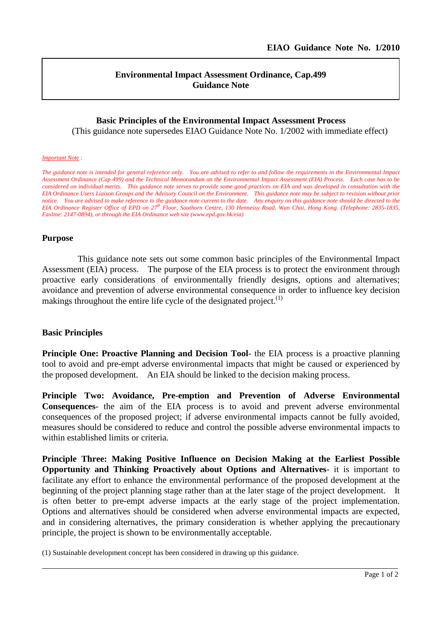# **Environmental Impact Assessment Ordinance, Cap.499 Guidance Note**

## **Basic Principles of the Environmental Impact Assessment Process**

(This guidance note supersedes EIAO Guidance Note No. 1/2002 with immediate effect)

#### *Important Note :*

*The guidance note is intended for general reference only. You are advised to refer to and follow the requirements in the Environmental Impact Assessment Ordinance (Cap 499) and the Technical Memorandum on the Environmental Impact Assessment (EIA) Process. Each case has to be considered on individual merits. This guidance note serves to provide some good practices on EIA and was developed in consultation with the EIA Ordinance Users Liaison Groups and the Advisory Council on the Environment. This guidance note may be subject to revision without prior notice. You are advised to make reference to the guidance note current to the date. Any enquiry on this guidance note should be directed to the EIA Ordinance Register Office of EPD on 27th Floor, Southorn Centre, 130 Hennessy Road, Wan Chai, Hong Kong. (Telephone: 2835-1835, Faxline: 2147-0894), or through the EIA Ordinance web site (www.epd.gov.hk/eia)*

### **Purpose**

This guidance note sets out some common basic principles of the Environmental Impact Assessment (EIA) process. The purpose of the EIA process is to protect the environment through proactive early considerations of environmentally friendly designs, options and alternatives; avoidance and prevention of adverse environmental consequence in order to influence key decision makings throughout the entire life cycle of the designated project.<sup>(1)</sup>

## **Basic Principles**

**Principle One: Proactive Planning and Decision Tool**- the EIA process is a proactive planning tool to avoid and pre-empt adverse environmental impacts that might be caused or experienced by the proposed development. An EIA should be linked to the decision making process.

**Principle Two: Avoidance, Pre-emption and Prevention of Adverse Environmental Consequences**- the aim of the EIA process is to avoid and prevent adverse environmental consequences of the proposed project; if adverse environmental impacts cannot be fully avoided, measures should be considered to reduce and control the possible adverse environmental impacts to within established limits or criteria.

**Principle Three: Making Positive Influence on Decision Making at the Earliest Possible Opportunity and Thinking Proactively about Options and Alternatives**- it is important to facilitate any effort to enhance the environmental performance of the proposed development at the beginning of the project planning stage rather than at the later stage of the project development. It is often better to pre-empt adverse impacts at the early stage of the project implementation. Options and alternatives should be considered when adverse environmental impacts are expected, and in considering alternatives, the primary consideration is whether applying the precautionary principle, the project is shown to be environmentally acceptable.

(1) Sustainable development concept has been considered in drawing up this guidance.

l